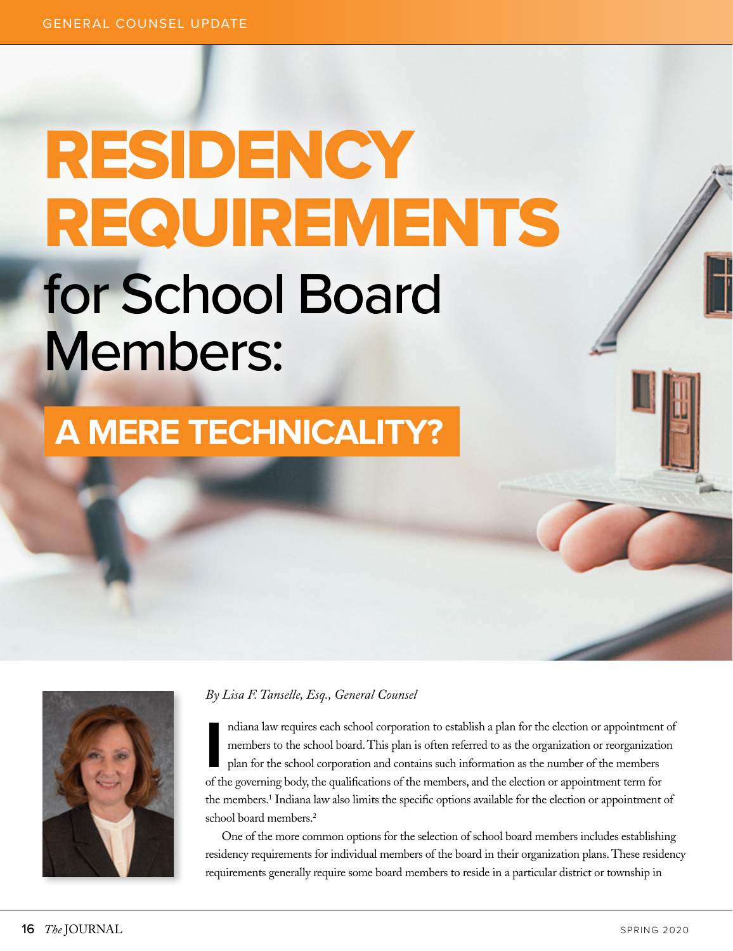## RESIDENCY REQUIREMENTS for School Board Members:

## **A MERE TECHNICALITY?**



## *By Lisa F. Tanselle, Esq., General Counsel*

Indiana law requires each school corporation to establish a plan for the election or appointment<br>members to the school board. This plan is often referred to as the organization or reorganization<br>plan for the school corpora ndiana law requires each school corporation to establish a plan for the election or appointment of members to the school board. This plan is often referred to as the organization or reorganization plan for the school corporation and contains such information as the number of the members the members.<sup>1</sup> Indiana law also limits the specific options available for the election or appointment of school board members.<sup>2</sup>

One of the more common options for the selection of school board members includes establishing residency requirements for individual members of the board in their organization plans. These residency requirements generally require some board members to reside in a particular district or township in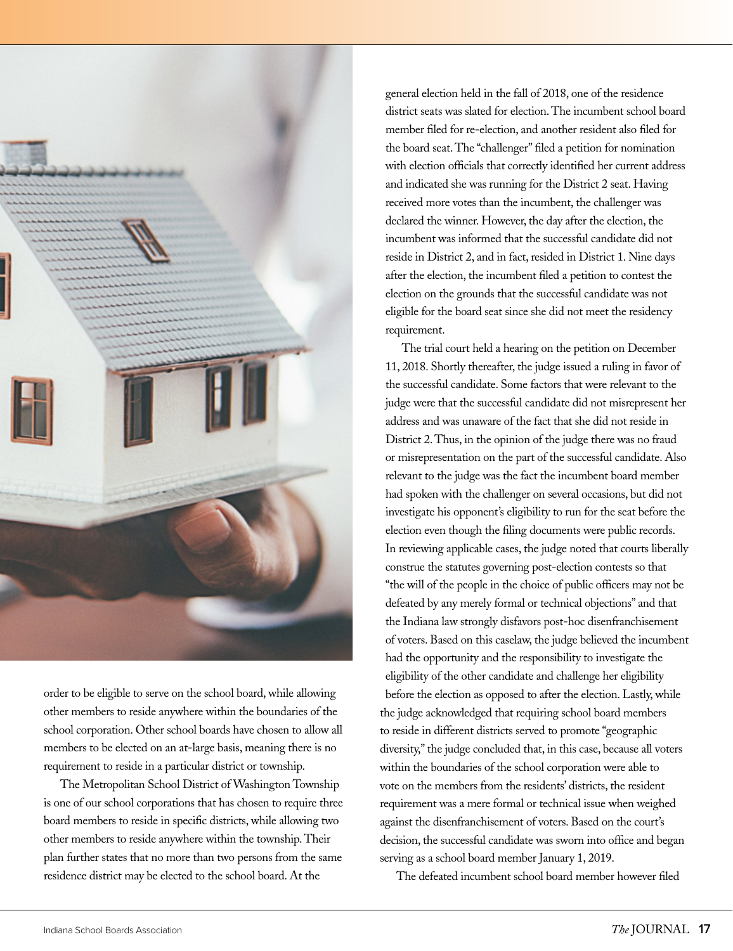

order to be eligible to serve on the school board, while allowing other members to reside anywhere within the boundaries of the school corporation. Other school boards have chosen to allow all members to be elected on an at-large basis, meaning there is no requirement to reside in a particular district or township.

The Metropolitan School District of Washington Township is one of our school corporations that has chosen to require three board members to reside in specific districts, while allowing two other members to reside anywhere within the township. Their plan further states that no more than two persons from the same residence district may be elected to the school board. At the

general election held in the fall of 2018, one of the residence district seats was slated for election. The incumbent school board member filed for re-election, and another resident also filed for the board seat. The "challenger" filed a petition for nomination with election officials that correctly identified her current address and indicated she was running for the District 2 seat. Having received more votes than the incumbent, the challenger was declared the winner. However, the day after the election, the incumbent was informed that the successful candidate did not reside in District 2, and in fact, resided in District 1. Nine days after the election, the incumbent filed a petition to contest the election on the grounds that the successful candidate was not eligible for the board seat since she did not meet the residency requirement.

The trial court held a hearing on the petition on December 11, 2018. Shortly thereafter, the judge issued a ruling in favor of the successful candidate. Some factors that were relevant to the judge were that the successful candidate did not misrepresent her address and was unaware of the fact that she did not reside in District 2. Thus, in the opinion of the judge there was no fraud or misrepresentation on the part of the successful candidate. Also relevant to the judge was the fact the incumbent board member had spoken with the challenger on several occasions, but did not investigate his opponent's eligibility to run for the seat before the election even though the filing documents were public records. In reviewing applicable cases, the judge noted that courts liberally construe the statutes governing post-election contests so that "the will of the people in the choice of public officers may not be defeated by any merely formal or technical objections" and that the Indiana law strongly disfavors post-hoc disenfranchisement of voters. Based on this caselaw, the judge believed the incumbent had the opportunity and the responsibility to investigate the eligibility of the other candidate and challenge her eligibility before the election as opposed to after the election. Lastly, while the judge acknowledged that requiring school board members to reside in different districts served to promote "geographic diversity," the judge concluded that, in this case, because all voters within the boundaries of the school corporation were able to vote on the members from the residents' districts, the resident requirement was a mere formal or technical issue when weighed against the disenfranchisement of voters. Based on the court's decision, the successful candidate was sworn into office and began serving as a school board member January 1, 2019.

The defeated incumbent school board member however filed